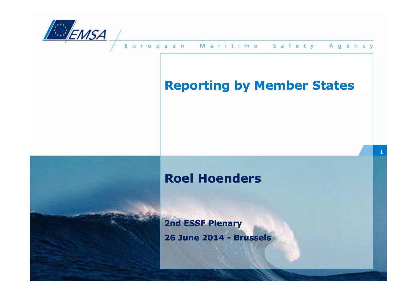

## **Reporting by Member States**

**1**

### **Roel Hoenders**

**2nd ESSF Plenary26 June 2014 - Brussels**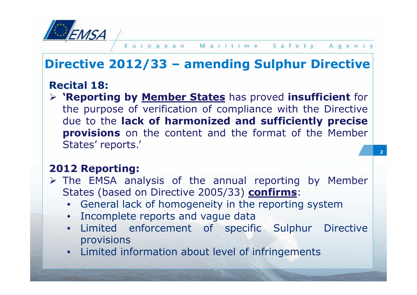

**2**

## **Directive 2012/33 – amending Sulphur Directive**

### **Recital 18:**

 **'Reporting by Member States** has proved **insufficient** for the purpose of verification of compliance with the Directive<br>due to the **lack of harmonized and sufficiently precise**  due to the **lack of harmonized and sufficiently precise provisions** on the content and the format of the Member States' reports.'

#### **<sup>2012</sup> Reporting:**

- > The EMSA analysis of the annual reporting by Member<br>States (based on Directive 2005/33) **confirms**: States (based on Directive 2005/33) **confirms**:
	- General lack of homogeneity in the reporting system<br>• Incomplete reports and vague data
	- Incomplete reports and vague data<br>• Limited enforcement of snecifi
	- Limited enforcement of specific Sulphur Directive provisions
	- Limited information about level of infringements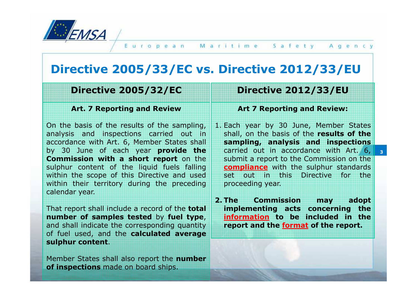

## **Directive 2005/33/EC vs. Directive 2012/33/EU**

#### **Directive 2005/32/EC**

#### **Art. 7 Reporting and Review**

On the basis of the results of the sampling, analysis and inspections carried out in accordance with Art. 6, Member States shall by <sup>30</sup> June of each year **provide Commission with <sup>a</sup> short report** on the sulphur content of the liquid fuels falling within the scope of this Directive and used within their territory during the preceding calendar year.

That report shall include <sup>a</sup> record of the **total number of samples tested** by **fuel type**, and shall indicate the corresponding quantity of fuel used, and the **calculated average sulphur content**.

Member States shall also report the **number of inspections** made on board ships.

#### **Directive 2012/33/EU**

#### **Art 7 Reporting and Review:**

1. Each year by <sup>30</sup> June, Member States shall, on the basis of the **results of the sampling, analysis and inspections e the** carried out in accordance with Art. 6, 3 submit <sup>a</sup> report to the Commission on the **compliance** with the sulphur standards set out in this Directive for the proceeding year.

> **2. The Commission may adopt implementing acts concerning the information to be included in the report and the format of the report.**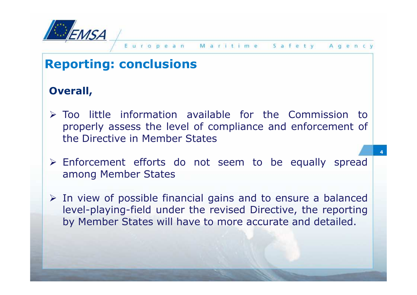

#### Safety ropean Maritime Agency

**4**

## **Reporting: conclusions**

#### **Overall,**

- Too little information available for the Commission to properly assess the level of compliance and enforcement of the Directive in Member States
- > Enforcement efforts do not seem to be equally spread<br>
among Member States among Member States
- In view of possible financial gains and to ensure a balanced<br>level-playing-field under the revised Directive, the reporting level-playing-field under the revised Directive, the reporting by Member States will have to more accurate and detailed.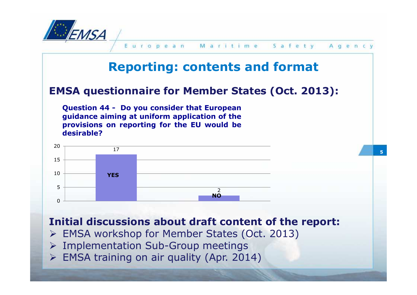

European Maritime Safety Aqency

**5**

## **Reporting: contents and format**

#### **EMSA questionnaire for Member States (Oct. 2013):**

**Question <sup>44</sup> - Do you consider that European guidance aiming at uniform application of the provisions on reporting for the EU would be desirable?**



#### **Initial discussions about draft content of the report:**

- EMSA workshop for Member States (Oct. 2013)
- > Implementation Sub-Group meetings<br>► EMSA training on air quality (Apr. 201
- EMSA training on air quality (Apr. 2014)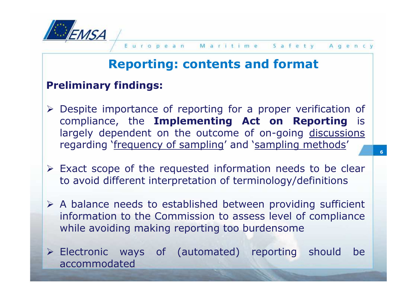

**6**

## **Reporting: contents and format**

#### **Preliminary findings:**

- Despite importance of reporting for a proper verification of<br>Compliance the **Implementing Act on Reporting** is compliance, the **Implementing Act on Reporting** is largely dependent on the outcome of on-going discussions regarding `<u>frequency of sampling</u>' and `<u>sampling methods</u>'
- $\triangleright$  Exact scope of the requested information needs to be clear<br>to avoid different interpretation of terminology/definitions to avoid different interpretation of terminology/definitions
- A balance needs to established between providing sufficient<br>information to the Commission to assess level of compliance information to the Commission to assess level of compliance<br>while avoiding making reporting too burdensome while avoiding making reporting too burdensome
- Electronic ways of (automated) reporting should be<br>accommodated accommodated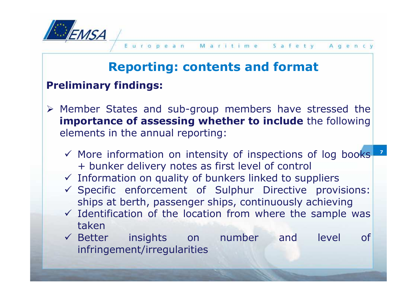

# **Reporting: contents and format**

### **Preliminary findings:**

- $\triangleright$  Member States and sub-group members have stressed the<br> **EXECUTE:** importance of assessing whether to include the following **importance of assessing whether to include** the following elements in the annual reporting:
	- **7**← More information on intensity of inspections of log books<br>+ hunker delivery notes as first level of control + bunker delivery notes as first level of control
	- √ Information on quality of bunkers linked to suppliers<br>✓ Specific enforcement of Sulphur Directive prov
	- Specific enforcement of Sulphur Directive provisions: ships at berth, passenger ships, continuously achieving
	- Identification of the location from where the sample was taken
	- $\checkmark$  Bette insights on number and level of infringement/irregularities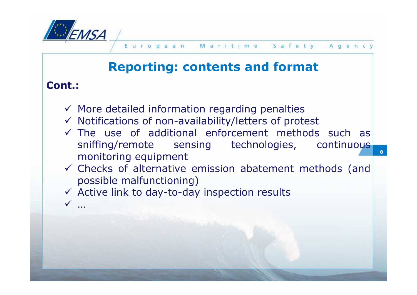

**8**

## **Reporting: contents and format**

#### **Cont.:**

-…

- √ More detailed information regarding penalties<br>✓ Notifications of non-availability/letters of prot
- √ Notifications of non-availability/letters of protest<br>✓ The use of additional enforcement methods
- The use of additional enforcement methods such as sniffing/remote sensing technologies, continuous
- monitoring equipment<br>  $\checkmark$  Checks of alternative emission abatement methods (and<br>
nossible malfunctioning) possible malfunctioning)
- Active link to day-to-day inspection results